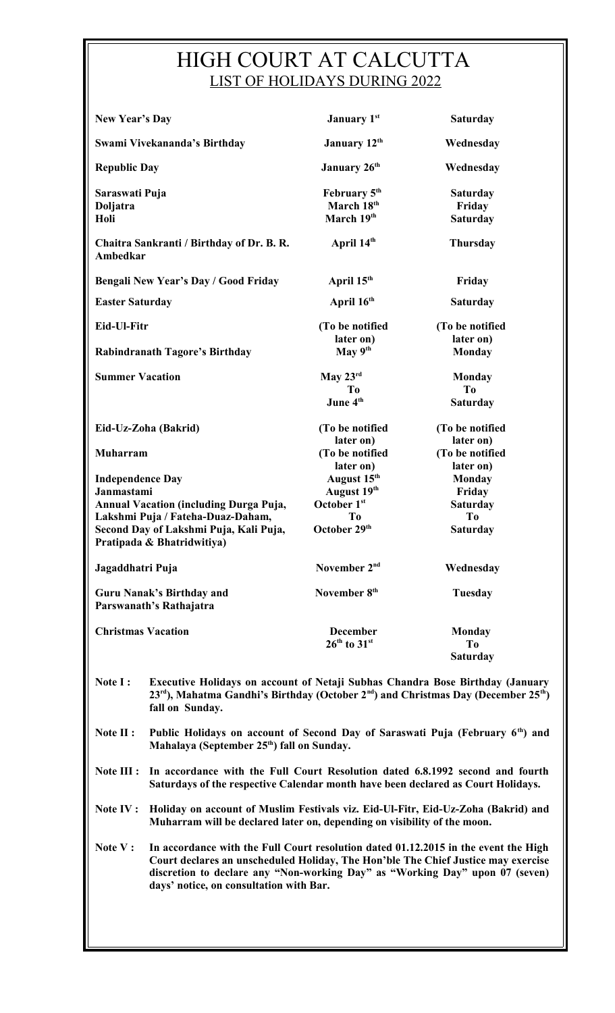# HIGH COURT AT CALCUTTA LIST OF HOLIDAYS DURING 2022

| <b>New Year's Day</b>                                                                                                                                                                               |                                                                                                                                                                                                                             | January 1st                                                                 | <b>Saturday</b>                                                                 |
|-----------------------------------------------------------------------------------------------------------------------------------------------------------------------------------------------------|-----------------------------------------------------------------------------------------------------------------------------------------------------------------------------------------------------------------------------|-----------------------------------------------------------------------------|---------------------------------------------------------------------------------|
|                                                                                                                                                                                                     | Swami Vivekananda's Birthday                                                                                                                                                                                                | January 12th                                                                | Wednesday                                                                       |
| <b>Republic Day</b>                                                                                                                                                                                 |                                                                                                                                                                                                                             | January 26 <sup>th</sup>                                                    | Wednesday                                                                       |
| Saraswati Puja<br>Doljatra<br>Holi                                                                                                                                                                  |                                                                                                                                                                                                                             | February 5 <sup>th</sup><br>March 18th<br>March 19th                        | <b>Saturday</b><br>Friday<br><b>Saturday</b>                                    |
| <b>Ambedkar</b>                                                                                                                                                                                     | Chaitra Sankranti / Birthday of Dr. B. R.                                                                                                                                                                                   | April 14th                                                                  | <b>Thursday</b>                                                                 |
|                                                                                                                                                                                                     | <b>Bengali New Year's Day / Good Friday</b>                                                                                                                                                                                 | April 15 <sup>th</sup>                                                      | Friday                                                                          |
| <b>Easter Saturday</b>                                                                                                                                                                              |                                                                                                                                                                                                                             | April 16 <sup>th</sup>                                                      | <b>Saturday</b>                                                                 |
| Eid-Ul-Fitr                                                                                                                                                                                         |                                                                                                                                                                                                                             | (To be notified<br>later on)                                                | (To be notified<br>later on)                                                    |
|                                                                                                                                                                                                     | Rabindranath Tagore's Birthday                                                                                                                                                                                              | May $9th$                                                                   | <b>Monday</b>                                                                   |
| <b>Summer Vacation</b>                                                                                                                                                                              |                                                                                                                                                                                                                             | May 23rd<br>To<br>June 4 <sup>th</sup>                                      | <b>Monday</b><br>T <sub>0</sub><br><b>Saturday</b>                              |
|                                                                                                                                                                                                     | Eid-Uz-Zoha (Bakrid)                                                                                                                                                                                                        | (To be notified<br>later on)                                                | (To be notified<br>later on)                                                    |
| <b>Muharram</b>                                                                                                                                                                                     |                                                                                                                                                                                                                             | (To be notified<br>later on)                                                | (To be notified<br>later on)                                                    |
| <b>Independence Day</b><br>Janmastami<br><b>Annual Vacation (including Durga Puja,</b><br>Lakshmi Puja / Fateha-Duaz-Daham,<br>Second Day of Lakshmi Puja, Kali Puja,<br>Pratipada & Bhatridwitiya) |                                                                                                                                                                                                                             | August 15 <sup>th</sup><br>August 19th<br>October 1st<br>Tо<br>October 29th | <b>Monday</b><br>Friday<br><b>Saturday</b><br>T <sub>0</sub><br><b>Saturday</b> |
| Jagaddhatri Puja                                                                                                                                                                                    |                                                                                                                                                                                                                             | November 2 <sup>nd</sup>                                                    | Wednesday                                                                       |
| <b>Guru Nanak's Birthday and</b><br>Parswanath's Rathajatra                                                                                                                                         |                                                                                                                                                                                                                             | November 8 <sup>th</sup>                                                    | <b>Tuesday</b>                                                                  |
| <b>Christmas Vacation</b>                                                                                                                                                                           |                                                                                                                                                                                                                             | <b>December</b><br>$26th$ to $31st$                                         | <b>Monday</b><br>T <sub>0</sub><br><b>Saturday</b>                              |
| Note I:                                                                                                                                                                                             | Executive Holidays on account of Netaji Subhas Chandra Bose Birthday (January<br>23 <sup>rd</sup> ), Mahatma Gandhi's Birthday (October 2 <sup>nd</sup> ) and Christmas Day (December 25 <sup>th</sup> )<br>fall on Sunday. |                                                                             |                                                                                 |

**Note II : Public Holidays on account of Second Day of Saraswati Puja (February 6th) and Mahalaya (September 25th) fall on Sunday.**

**Note III : In accordance with the Full Court Resolution dated 6.8.1992 second and fourth Saturdays of the respective Calendar month have been declared as Court Holidays.**

**Note IV : Holiday on account of Muslim Festivals viz. Eid-Ul-Fitr, Eid-Uz-Zoha (Bakrid) and Muharram will be declared later on, depending on visibility of the moon.**

discretion to declare any "Non-working Day" as "Working Day" upon 07 (seven) **Note V : In accordance with the Full Court resolution dated 01.12.2015 in the event the High Court declares an unscheduled Holiday, The Hon'ble The Chief Justice may exercise days' notice, on consultation with Bar.**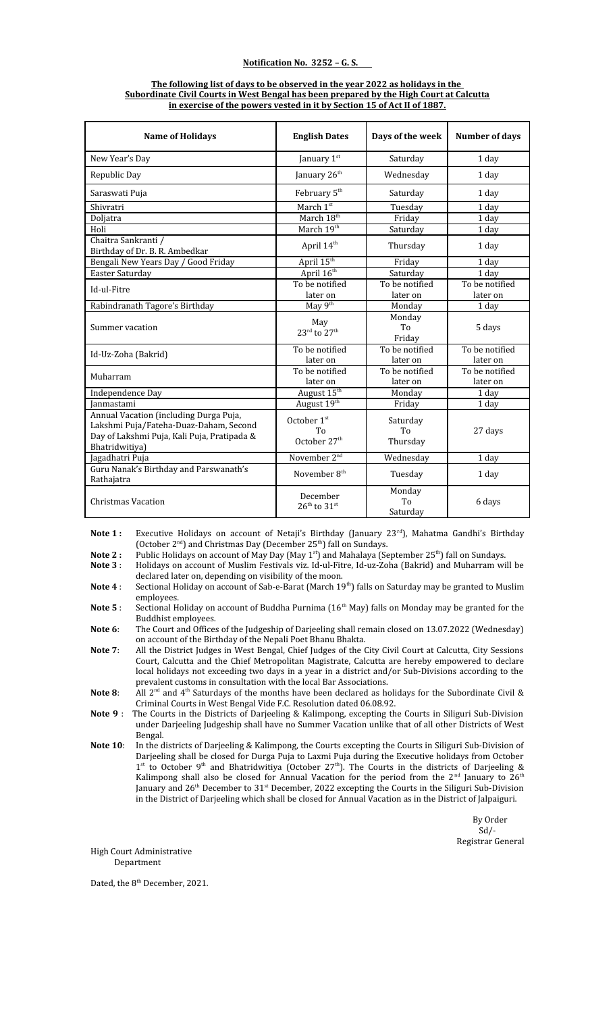#### **Notification No. 3252 – G. S.**

#### **The following list of days to be observed in the year 2022 as holidays in the Subordinate Civil Courts in West Bengal has been prepared by the High Court at Calcutta in exercise of the powers vested in it by Section 15 of Act II of 1887.**

| <b>Name of Holidays</b>                                                                                                                           | <b>English Dates</b>                                      | Days of the week           | <b>Number of days</b>      |
|---------------------------------------------------------------------------------------------------------------------------------------------------|-----------------------------------------------------------|----------------------------|----------------------------|
| New Year's Day                                                                                                                                    | January 1st                                               | Saturday                   | 1 day                      |
| Republic Day                                                                                                                                      | January 26 <sup>th</sup>                                  | Wednesday                  | 1 day                      |
| Saraswati Puja                                                                                                                                    | February 5th                                              | Saturday                   | 1 day                      |
| Shivratri                                                                                                                                         | March 1 <sup>st</sup>                                     | Tuesday                    | 1 day                      |
| Doljatra                                                                                                                                          | March 18 <sup>th</sup>                                    | Friday                     | 1 day                      |
| Holi                                                                                                                                              | March 19th                                                | Saturday                   | 1 day                      |
| Chaitra Sankranti /<br>Birthday of Dr. B. R. Ambedkar                                                                                             | April 14 <sup>th</sup>                                    | Thursday                   | 1 day                      |
| Bengali New Years Day / Good Friday                                                                                                               | April 15 <sup>th</sup>                                    | Friday                     | 1 day                      |
| Easter Saturday                                                                                                                                   | April 16 <sup>th</sup>                                    | Saturday                   | 1 day                      |
| Id-ul-Fitre                                                                                                                                       | To be notified                                            | To be notified             | To be notified             |
|                                                                                                                                                   | later on                                                  | later on                   | later on                   |
| Rabindranath Tagore's Birthday                                                                                                                    | May 9 <sup>th</sup>                                       | Monday                     | 1 day                      |
| Summer vacation                                                                                                                                   | May<br>$23^{\text{rd}}$ to $27^{\text{th}}$               | Monday<br>To<br>Friday     | 5 days                     |
| Id-Uz-Zoha (Bakrid)                                                                                                                               | To be notified<br>later on                                | To be notified<br>later on | To be notified<br>later on |
| Muharram                                                                                                                                          | To be notified<br>later on                                | To be notified<br>later on | To be notified<br>later on |
| Independence Day                                                                                                                                  | August 15 <sup>th</sup>                                   | Monday                     | 1 day                      |
| Ianmastami                                                                                                                                        | August 19 <sup>th</sup>                                   | Friday                     | 1 day                      |
| Annual Vacation (including Durga Puja,<br>Lakshmi Puja/Fateha-Duaz-Daham, Second<br>Day of Lakshmi Puja, Kali Puja, Pratipada &<br>Bhatridwitiya) | October 1st<br>T <sub>0</sub><br>October 27 <sup>th</sup> | Saturday<br>To<br>Thursday | 27 days                    |
| Jagadhatri Puja                                                                                                                                   | November 2 <sup>nd</sup>                                  | Wednesday                  | 1 day                      |
| Guru Nanak's Birthday and Parswanath's<br>Rathajatra                                                                                              | November 8 <sup>th</sup>                                  | Tuesday                    | 1 day                      |
| <b>Christmas Vacation</b>                                                                                                                         | December<br>$26^{\text{th}}$ to $31^{\text{st}}$          | Monday<br>To<br>Saturday   | 6 days                     |

Note 1: Executive Holidays on account of Netaji's Birthday (January 23<sup>rd</sup>), Mahatma Gandhi's Birthday (October  $2<sup>nd</sup>$ ) and Christmas Day (December 25<sup>th</sup>) fall on Sundays.

**Note 2 :** Public Holidays on account of May Day (May 1<sup>st</sup>) and Mahalaya (September 25<sup>th</sup>) fall on Sundays.

**Note 3** : Holidays on account of Muslim Festivals viz. Id-ul-Fitre, Id-uz-Zoha (Bakrid) and Muharram will be

declared later on, depending on visibility of the moon. Note 4: Sectional Holiday on account of Sab-e-Barat (March 19<sup>th</sup>) falls on Saturday may be granted to Muslim

employees. Note 5 : Sectional Holiday on account of Buddha Purnima (16<sup>th</sup> May) falls on Monday may be granted for the

Buddhist employees. **Note 6**: The Court and Offices of the Judgeship of Darjeeling shall remain closed on 13.07.2022 (Wednesday)

on account of the Birthday of the Nepali Poet Bhanu Bhakta. **Note 7**: All the District Judges in West Bengal, Chief Judges of the City Civil Court at Calcutta, City Sessions Court, Calcutta and the Chief Metropolitan Magistrate, Calcutta are hereby empowered to declare local holidays not exceeding two days in a year in a district and/or Sub-Divisions according to the

prevalent customs in consultation with the local Bar Associations. **Note 8:** All 2<sup>nd</sup> and 4<sup>th</sup> Saturdays of the months have been declared as holidays for the Subordinate Civil &

Criminal Courts in West Bengal Vide F.C. Resolution dated 06.08.92. **Note 9** : The Courts in the Districts of Darjeeling & Kalimpong, excepting the Courts in Siliguri Sub-Division under Darjeeling Judgeship shall have no Summer Vacation unlike that of all other Districts of West

Bengal. **Note 10**: In the districts of Darjeeling & Kalimpong, the Courts excepting the Courts in Siliguri Sub-Division of Darjeeling shall be closed for Durga Puja to Laxmi Puja during the Executive holidays from October 1<sup>st</sup> to October 9<sup>th</sup> and Bhatridwitiya (October 27<sup>th</sup>). The Courts in the districts of Darjeeling & Kalimpong shall also be closed for Annual Vacation for the period from the  $2<sup>nd</sup>$  January to  $26<sup>th</sup>$ January and 26<sup>th</sup> December to 31<sup>st</sup> December, 2022 excepting the Courts in the Siliguri Sub-Division

in the District of Darjeeling which shall be closed for Annual Vacation as in the District of Jalpaiguri.

 By Order  $Sd$  /-Registrar General

High Court Administrative Department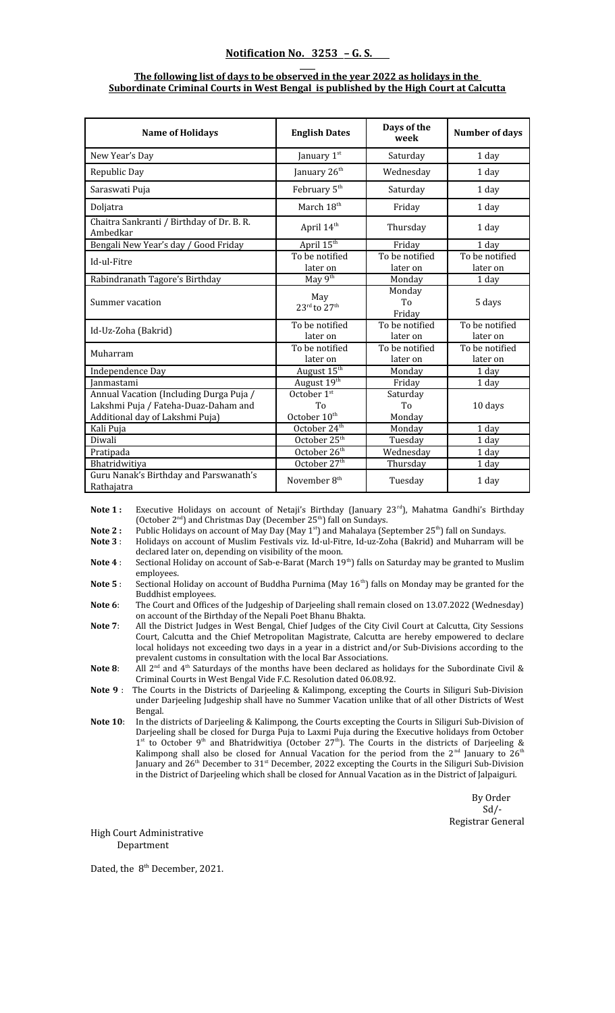#### **Notification No. 3253 – G. S.**

#### **The following list of days to be observed in the year 2022 as holidays in the Subordinate Criminal Courts in West Bengal is published by the High Court at Calcutta**

| <b>Name of Holidays</b>                                                                                            | <b>English Dates</b>                          | Days of the<br>week        | <b>Number of days</b>      |
|--------------------------------------------------------------------------------------------------------------------|-----------------------------------------------|----------------------------|----------------------------|
| New Year's Day                                                                                                     | January 1st                                   | Saturday                   | 1 day                      |
| Republic Day                                                                                                       | January 26 <sup>th</sup>                      | Wednesday                  | 1 day                      |
| Saraswati Puja                                                                                                     | February 5 <sup>th</sup>                      | Saturday                   | 1 day                      |
| Doljatra                                                                                                           | March 18 <sup>th</sup>                        | Friday                     | 1 day                      |
| Chaitra Sankranti / Birthday of Dr. B. R.<br>Ambedkar                                                              | April 14 <sup>th</sup>                        | Thursday                   | 1 day                      |
| Bengali New Year's day / Good Friday                                                                               | April 15th                                    | Friday                     | 1 day                      |
| Id-ul-Fitre                                                                                                        | To be notified<br>later on                    | To be notified<br>later on | To be notified<br>later on |
| Rabindranath Tagore's Birthday                                                                                     | May 9th                                       | Monday                     | 1 day                      |
| Summer vacation                                                                                                    | May<br>$23^{\text{rd}}$ to $27^{\text{th}}$   | Monday<br>To<br>Friday     | 5 days                     |
| Id-Uz-Zoha (Bakrid)                                                                                                | To be notified<br>later on                    | To be notified<br>later on | To be notified<br>later on |
| Muharram                                                                                                           | To be notified<br>later on                    | To be notified<br>later on | To be notified<br>later on |
| Independence Day                                                                                                   | August 15 <sup>th</sup>                       | Monday                     | 1 day                      |
| Ianmastami                                                                                                         | August 19th                                   | Friday                     | 1 day                      |
| Annual Vacation (Including Durga Puja /<br>Lakshmi Puja / Fateha-Duaz-Daham and<br>Additional day of Lakshmi Puja) | October 1st<br>To<br>October 10 <sup>th</sup> | Saturday<br>To<br>Monday   | 10 days                    |
| Kali Puja                                                                                                          | October 24 <sup>th</sup>                      | Monday                     | 1 day                      |
| Diwali                                                                                                             | October 25 <sup>th</sup>                      | Tuesday                    | 1 day                      |
| Pratipada                                                                                                          | October 26 <sup>th</sup>                      | Wednesday                  | 1 day                      |
| Bhatridwitiya                                                                                                      | October 27 <sup>th</sup>                      | Thursday                   | 1 day                      |
| Guru Nanak's Birthday and Parswanath's<br>Rathajatra                                                               | November 8 <sup>th</sup>                      | Tuesday                    | 1 day                      |

Note 1 : Executive Holidays on account of Netaji's Birthday (January 23<sup>rd</sup>), Mahatma Gandhi's Birthday (October  $2<sup>nd</sup>$ ) and Christmas Day (December  $25<sup>th</sup>$ ) fall on Sundays.

**Note 2 :** Public Holidays on account of May Day (May 1<sup>st</sup>) and Mahalaya (September 25<sup>th</sup>) fall on Sundays.

**Note 3** : Holidays on account of Muslim Festivals viz. Id-ul-Fitre, Id-uz-Zoha (Bakrid) and Muharram will be declared later on, depending on visibility of the moon.

**Note 4** : Sectional Holiday on account of Sab-e-Barat (March 19<sup>th</sup>) falls on Saturday may be granted to Muslim employees.

Note 5 : Sectional Holiday on account of Buddha Purnima (May 16<sup>th</sup>) falls on Monday may be granted for the Buddhist employees.

**Note 6**: The Court and Offices of the Judgeship of Darjeeling shall remain closed on 13.07.2022 (Wednesday) on account of the Birthday of the Nepali Poet Bhanu Bhakta.

- **Note 7**: All the District Judges in West Bengal, Chief Judges of the City Civil Court at Calcutta, City Sessions Court, Calcutta and the Chief Metropolitan Magistrate, Calcutta are hereby empowered to declare local holidays not exceeding two days in a year in a district and/or Sub-Divisions according to the prevalent customs in consultation with the local Bar Associations.
- **Note 8:** All 2<sup>nd</sup> and 4<sup>th</sup> Saturdays of the months have been declared as holidays for the Subordinate Civil & Criminal Courts in West Bengal Vide F.C. Resolution dated 06.08.92.

**Note 9** : The Courts in the Districts of Darjeeling & Kalimpong, excepting the Courts in Siliguri Sub-Division under Darjeeling Judgeship shall have no Summer Vacation unlike that of all other Districts of West Bengal.

**Note 10**: In the districts of Darjeeling & Kalimpong, the Courts excepting the Courts in Siliguri Sub-Division of Darjeeling shall be closed for Durga Puja to Laxmi Puja during the Executive holidays from October  $1<sup>st</sup>$  to October 9<sup>th</sup> and Bhatridwitiya (October 27<sup>th</sup>). The Courts in the districts of Darjeeling & Kalimpong shall also be closed for Annual Vacation for the period from the 2<sup>nd</sup> January to 26<sup>th</sup> January and 26<sup>th</sup> December to 31<sup>st</sup> December, 2022 excepting the Courts in the Siliguri Sub-Division in the District of Darjeeling which shall be closed for Annual Vacation as in the District of Jalpaiguri.

> By Order Sd/- Registrar General

High Court Administrative Department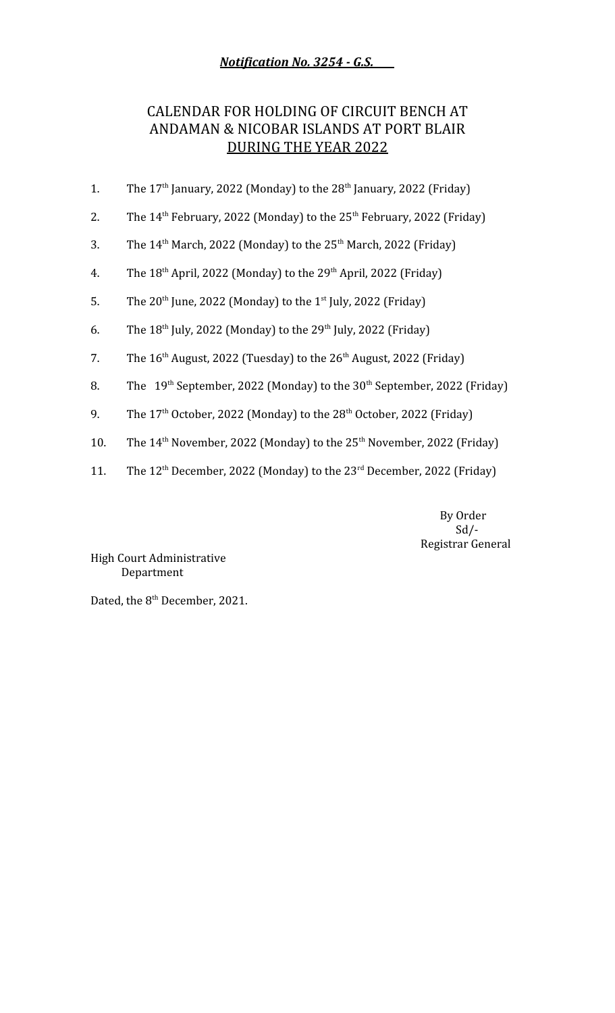*Notification No. 3254 - G.S.* 

## CALENDAR FOR HOLDING OF CIRCUIT BENCH AT ANDAMAN & NICOBAR ISLANDS AT PORT BLAIR DURING THE YEAR 2022

- 1. The  $17<sup>th</sup>$  January, 2022 (Monday) to the  $28<sup>th</sup>$  January, 2022 (Friday)
- 2. The  $14<sup>th</sup>$  February, 2022 (Monday) to the  $25<sup>th</sup>$  February, 2022 (Friday)
- 3. The  $14<sup>th</sup>$  March, 2022 (Monday) to the  $25<sup>th</sup>$  March, 2022 (Friday)
- 4. The  $18<sup>th</sup>$  April, 2022 (Monday) to the  $29<sup>th</sup>$  April, 2022 (Friday)
- 5. The  $20^{th}$  June, 2022 (Monday) to the  $1^{st}$  July, 2022 (Friday)
- 6. The  $18^{th}$  July, 2022 (Monday) to the  $29^{th}$  July, 2022 (Friday)
- 7. The  $16<sup>th</sup>$  August, 2022 (Tuesday) to the  $26<sup>th</sup>$  August, 2022 (Friday)
- 8. The  $19<sup>th</sup>$  September, 2022 (Monday) to the 30<sup>th</sup> September, 2022 (Friday)
- 9. The  $17<sup>th</sup>$  October, 2022 (Monday) to the  $28<sup>th</sup>$  October, 2022 (Friday)
- 10. The  $14<sup>th</sup>$  November, 2022 (Monday) to the  $25<sup>th</sup>$  November, 2022 (Friday)
- 11. The  $12<sup>th</sup>$  December, 2022 (Monday) to the  $23<sup>rd</sup>$  December, 2022 (Friday)

 By Order  $Sd$  /-Registrar General

High Court Administrative Department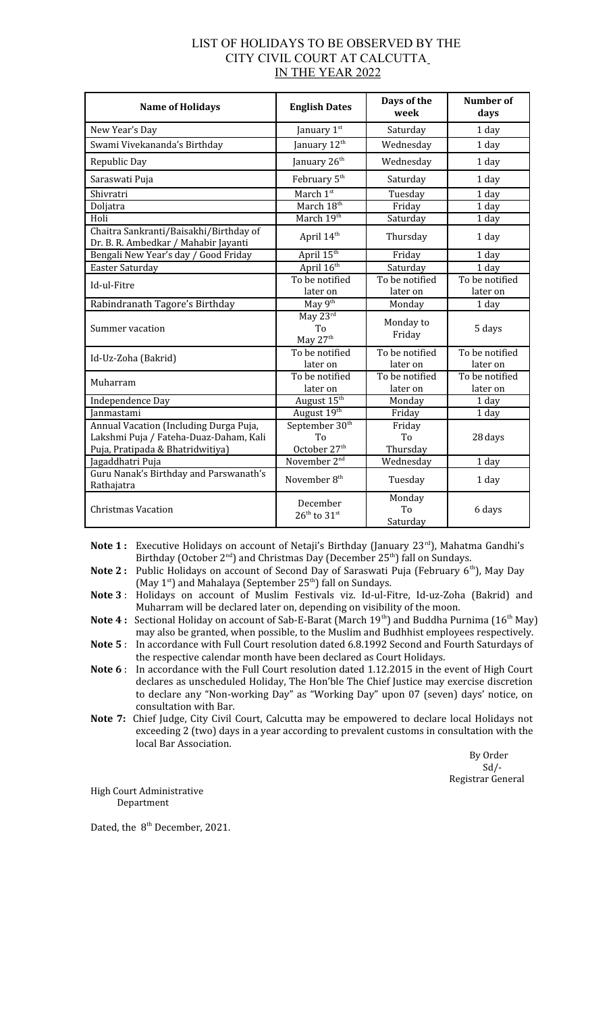| LIST OF HOLIDAYS TO BE OBSERVED BY THE |  |
|----------------------------------------|--|
| CITY CIVIL COURT AT CALCUTTA           |  |
| IN THE YEAR 2022                       |  |

| <b>Name of Holidays</b>                                                                                              | <b>English Dates</b>                                         | Days of the<br>week        | Number of<br>days          |
|----------------------------------------------------------------------------------------------------------------------|--------------------------------------------------------------|----------------------------|----------------------------|
| New Year's Day                                                                                                       | January 1st                                                  | Saturday                   | 1 day                      |
| Swami Vivekananda's Birthday                                                                                         | January 12 <sup>th</sup>                                     | Wednesday                  | 1 day                      |
| Republic Day                                                                                                         | January 26 <sup>th</sup>                                     | Wednesday                  | 1 day                      |
| Saraswati Puja                                                                                                       | February 5 <sup>th</sup>                                     | Saturday                   | 1 day                      |
| Shivratri                                                                                                            | March 1st                                                    | Tuesday                    | 1 day                      |
| Doljatra                                                                                                             | March 18 <sup>th</sup>                                       | Friday                     | 1 day                      |
| Holi                                                                                                                 | March 19th                                                   | Saturday                   | 1 day                      |
| Chaitra Sankranti/Baisakhi/Birthday of<br>Dr. B. R. Ambedkar / Mahabir Jayanti                                       | April 14 <sup>th</sup>                                       | Thursday                   | 1 day                      |
| Bengali New Year's day / Good Friday                                                                                 | April 15 <sup>th</sup>                                       | Friday                     | 1 day                      |
| Easter Saturday                                                                                                      | April 16 <sup>th</sup>                                       | Saturday                   | 1 day                      |
| Id-ul-Fitre                                                                                                          | To be notified                                               | To be notified             | To be notified             |
|                                                                                                                      | later on                                                     | later on                   | later on                   |
| Rabindranath Tagore's Birthday                                                                                       | May 9th                                                      | Monday                     | 1 day                      |
| Summer vacation                                                                                                      | May 23rd<br>T <sub>0</sub><br>May 27 <sup>th</sup>           | Monday to<br>Friday        | 5 days                     |
| Id-Uz-Zoha (Bakrid)                                                                                                  | To be notified<br>later on                                   | To be notified<br>later on | To be notified<br>later on |
| Muharram                                                                                                             | To be notified<br>later on                                   | To be notified<br>later on | To be notified<br>later on |
| Independence Day                                                                                                     | August 15 <sup>th</sup>                                      | Monday                     | 1 day                      |
| <b>Ianmastami</b>                                                                                                    | August 19th                                                  | Friday                     | 1 day                      |
| Annual Vacation (Including Durga Puja,<br>Lakshmi Puja / Fateha-Duaz-Daham, Kali<br>Puja, Pratipada & Bhatridwitiya) | September 30 <sup>th</sup><br>To<br>October 27 <sup>th</sup> | Friday<br>To<br>Thursday   | 28 days                    |
| Jagaddhatri Puja                                                                                                     | November 2 <sup>nd</sup>                                     | Wednesday                  | 1 day                      |
| Guru Nanak's Birthday and Parswanath's<br>Rathajatra                                                                 | November 8 <sup>th</sup>                                     | Tuesday                    | 1 day                      |
| <b>Christmas Vacation</b>                                                                                            | December<br>$26^{\text{th}}$ to $31^{\text{st}}$             | Monday<br>To<br>Saturday   | 6 days                     |

Note 1: Executive Holidays on account of Netaji's Birthday (January 23<sup>rd</sup>), Mahatma Gandhi's Birthday (October 2<sup>nd</sup>) and Christmas Day (December 25<sup>th</sup>) fall on Sundays.

**Note 2** : Public Holidays on account of Second Day of Saraswati Puja (February 6<sup>th</sup>), May Day (May  $1^{st}$ ) and Mahalaya (September  $25^{th}$ ) fall on Sundays.

**Note 3** : Holidays on account of Muslim Festivals viz. Id-ul-Fitre, Id-uz-Zoha (Bakrid) and Muharram will be declared later on, depending on visibility of the moon.

**Note 4 :** Sectional Holiday on account of Sab-E-Barat (March 19<sup>th</sup>) and Buddha Purnima (16<sup>th</sup> May) may also be granted, when possible, to the Muslim and Budhhist employees respectively.

**Note 5** : In accordance with Full Court resolution dated 6.8.1992 Second and Fourth Saturdays of the respective calendar month have been declared as Court Holidays.

**Note 6** : In accordance with the Full Court resolution dated 1.12.2015 in the event of High Court declares as unscheduled Holiday, The Hon'ble The Chief Justice may exercise discretion to declare any "Non-working Day" as "Working Day" upon 07 (seven) days' notice, on consultation with Bar.

**Note 7:** Chief Judge, City Civil Court, Calcutta may be empowered to declare local Holidays not exceeding 2 (two) days in a year according to prevalent customs in consultation with the local Bar Association.

> By Order Sd/- Registrar General

High Court Administrative Department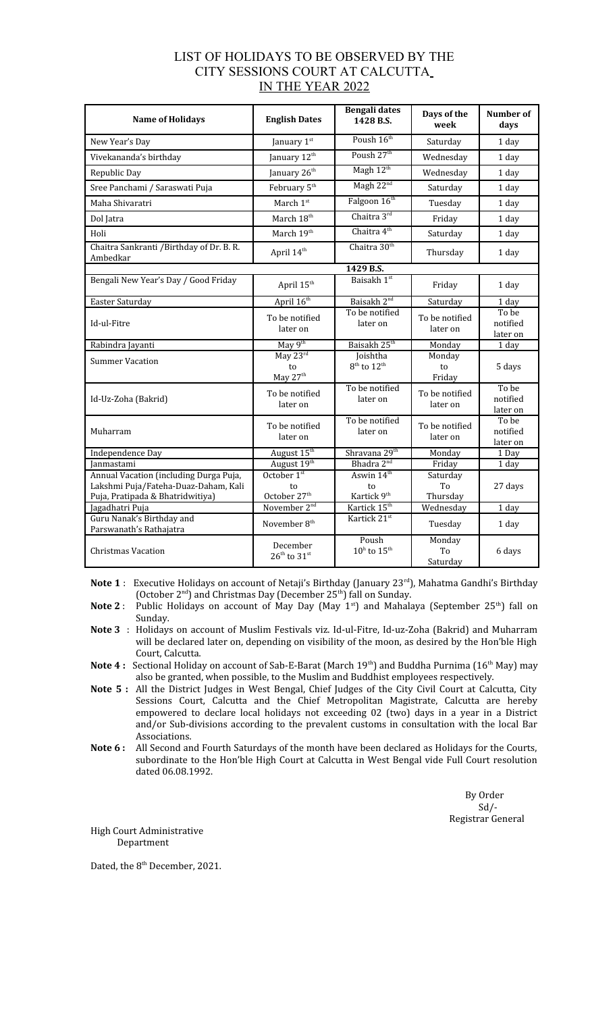| LIST OF HOLIDAYS TO BE OBSERVED BY THE |  |
|----------------------------------------|--|
| CITY SESSIONS COURT AT CALCUTTA        |  |
| IN THE YEAR 2022                       |  |

| <b>Name of Holidays</b>                                                                                            | <b>English Dates</b>                               | Bengali dates<br>1428 B.S.                              | Days of the<br>week        | Number of<br>days             |
|--------------------------------------------------------------------------------------------------------------------|----------------------------------------------------|---------------------------------------------------------|----------------------------|-------------------------------|
| New Year's Day                                                                                                     | January 1st                                        | Poush 16th                                              | Saturday                   | 1 day                         |
| Vivekananda's birthday                                                                                             | January 12 <sup>th</sup>                           | Poush 27 <sup>th</sup>                                  | Wednesday                  | 1 day                         |
| Republic Day                                                                                                       | January 26 <sup>th</sup>                           | Magh 12 <sup>th</sup>                                   | Wednesday                  | 1 day                         |
| Sree Panchami / Saraswati Puja                                                                                     | February 5 <sup>th</sup>                           | Magh 22 <sup>nd</sup>                                   | Saturday                   | 1 day                         |
| Maha Shivaratri                                                                                                    | March 1st                                          | Falgoon 16th                                            | Tuesday                    | 1 day                         |
| Dol Jatra                                                                                                          | March 18 <sup>th</sup>                             | Chaitra 3rd                                             | Friday                     | 1 day                         |
| Holi                                                                                                               | March 19th                                         | Chaitra 4 <sup>th</sup>                                 | Saturday                   | 1 day                         |
| Chaitra Sankranti / Birthday of Dr. B. R.<br>Ambedkar                                                              | April 14 <sup>th</sup>                             | Chaitra 30 <sup>th</sup>                                | Thursday                   | 1 day                         |
|                                                                                                                    |                                                    | 1429 B.S.                                               |                            |                               |
| Bengali New Year's Day / Good Friday                                                                               | April 15 <sup>th</sup>                             | Baisakh 1st                                             | Friday                     | 1 day                         |
| Easter Saturday                                                                                                    | April 16th                                         | Baisakh 2 <sup>nd</sup>                                 | Saturday                   | 1 day                         |
| Id-ul-Fitre                                                                                                        | To be notified<br>later on                         | To be notified<br>later on                              | To be notified<br>later on | To be<br>notified<br>later on |
| Rabindra Jayanti                                                                                                   | May $9th$                                          | Baisakh 25 <sup>th</sup>                                | Monday                     | 1 day                         |
| <b>Summer Vacation</b>                                                                                             | May 23 <sup>rd</sup><br>to<br>May 27 <sup>th</sup> | Joishtha<br>$8th$ to $12th$                             | Monday<br>to<br>Friday     | 5 days                        |
| Id-Uz-Zoha (Bakrid)                                                                                                | To be notified<br>later on                         | To be notified<br>later on                              | To be notified<br>later on | To be<br>notified<br>later on |
| Muharram                                                                                                           | To be notified<br>later on                         | To be notified<br>later on                              | To be notified<br>later on | To be<br>notified<br>later on |
| Independence Day                                                                                                   | August 15 <sup>th</sup>                            | Shravana 29 <sup>th</sup>                               | Monday                     | 1 Day                         |
| Janmastami                                                                                                         | August 19th                                        | Bhadra 2 <sup>nd</sup>                                  | Friday                     | 1 day                         |
| Annual Vacation (including Durga Puja,<br>Lakshmi Puja/Fateha-Duaz-Daham, Kali<br>Puja, Pratipada & Bhatridwitiya) | October 1st<br>to<br>October 27 <sup>th</sup>      | Aswin 14 <sup>th</sup><br>to<br>Kartick 9 <sup>th</sup> | Saturday<br>To<br>Thursday | 27 days                       |
| Jagadhatri Puja                                                                                                    | November 2 <sup>nd</sup>                           | Kartick 15 <sup>th</sup>                                | Wednesday                  | 1 day                         |
| Guru Nanak's Birthday and<br>Parswanath's Rathajatra                                                               | November 8 <sup>th</sup>                           | Kartick 21st                                            | Tuesday                    | 1 day                         |
| <b>Christmas Vacation</b>                                                                                          | December<br>$26^{\text{th}}$ to $31^{\text{st}}$   | Poush<br>$10^{\rm h}$ to $15^{\rm th}$                  | Monday<br>To<br>Saturdav   | 6 days                        |

Note 1: Executive Holidays on account of Netaji's Birthday (January 23<sup>rd</sup>), Mahatma Gandhi's Birthday (October  $2^{nd}$ ) and Christmas Day (December  $25^{th}$ ) fall on Sunday.

- **Note 2** : Public Holidays on account of May Day (May 1<sup>st</sup>) and Mahalaya (September 25<sup>th</sup>) fall on Sunday.
- **Note 3** : Holidays on account of Muslim Festivals viz. Id-ul-Fitre, Id-uz-Zoha (Bakrid) and Muharram will be declared later on, depending on visibility of the moon, as desired by the Hon'ble High Court, Calcutta.
- **Note 4 :** Sectional Holiday on account of Sab-E-Barat (March 19<sup>th</sup>) and Buddha Purnima (16<sup>th</sup> May) may also be granted, when possible, to the Muslim and Buddhist employees respectively.
- **Note 5 :** All the District Judges in West Bengal, Chief Judges of the City Civil Court at Calcutta, City Sessions Court, Calcutta and the Chief Metropolitan Magistrate, Calcutta are hereby empowered to declare local holidays not exceeding 02 (two) days in a year in a District and/or Sub-divisions according to the prevalent customs in consultation with the local Bar Associations.
- **Note 6 :** All Second and Fourth Saturdays of the month have been declared as Holidays for the Courts, subordinate to the Hon'ble High Court at Calcutta in West Bengal vide Full Court resolution dated 06.08.1992.

 By Order  $Sd$ <sup>-</sup> Registrar General

High Court Administrative Department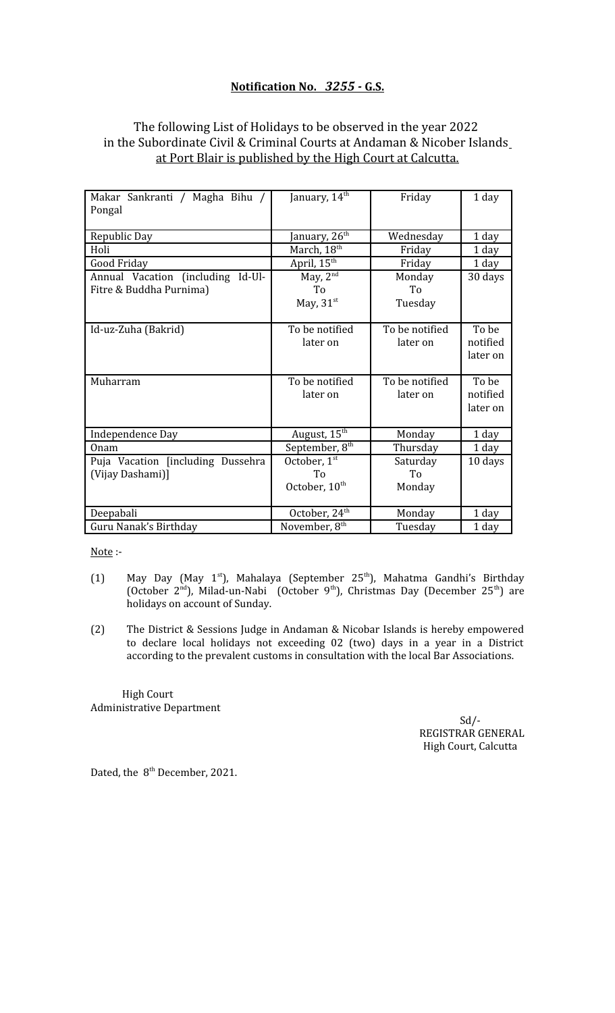### **Notification No.** *3255 -* **G.S.**

### The following List of Holidays to be observed in the year 2022 in the Subordinate Civil & Criminal Courts at Andaman & Nicober Islands at Port Blair is published by the High Court at Calcutta.

| Makar Sankranti / Magha Bihu /    | January, 14 <sup>th</sup>  | Friday                     | 1 day                         |
|-----------------------------------|----------------------------|----------------------------|-------------------------------|
| Pongal                            |                            |                            |                               |
| Republic Day                      | anuary, 26 <sup>th</sup>   | Wednesday                  | 1 day                         |
| Holi                              | March, 18 <sup>th</sup>    | Friday                     | 1 day                         |
| Good Friday                       | April, 15 <sup>th</sup>    | Friday                     | 1 day                         |
| Annual Vacation (including Id-Ul- | May, $2nd$                 | Monday                     | 30 days                       |
| Fitre & Buddha Purnima)           | To                         | To                         |                               |
|                                   | May, $31st$                | Tuesday                    |                               |
| Id-uz-Zuha (Bakrid)               | To be notified<br>later on | To be notified<br>later on | To be<br>notified<br>later on |
| Muharram                          | To be notified<br>later on | To be notified<br>later on | To be<br>notified<br>later on |
| Independence Day                  | August, 15 <sup>th</sup>   | Monday                     | 1 day                         |
| Onam                              | September, 8 <sup>th</sup> | Thursday                   | 1 day                         |
| Puja Vacation [including Dussehra | October, 1st               | Saturday                   | 10 days                       |
| (Vijay Dashami)]                  | To                         | To                         |                               |
|                                   | October, 10 <sup>th</sup>  | Monday                     |                               |
| Deepabali                         | October, 24 <sup>th</sup>  | Monday                     | 1 day                         |
| Guru Nanak's Birthday             | November, 8 <sup>th</sup>  | Tuesday                    | 1 day                         |

Note :-

- (1) May Day (May 1st), Mahalaya (September 25<sup>th</sup>), Mahatma Gandhi's Birthday (October 2<sup>nd</sup>), Milad-un-Nabi (October 9<sup>th</sup>), Christmas Day (December 25<sup>th</sup>) are holidays on account of Sunday.
- (2) The District & Sessions Judge in Andaman & Nicobar Islands is hereby empowered to declare local holidays not exceeding 02 (two) days in a year in a District according to the prevalent customs in consultation with the local Bar Associations.

 High Court Administrative Department

 $Sd$  /-REGISTRAR GENERAL High Court, Calcutta